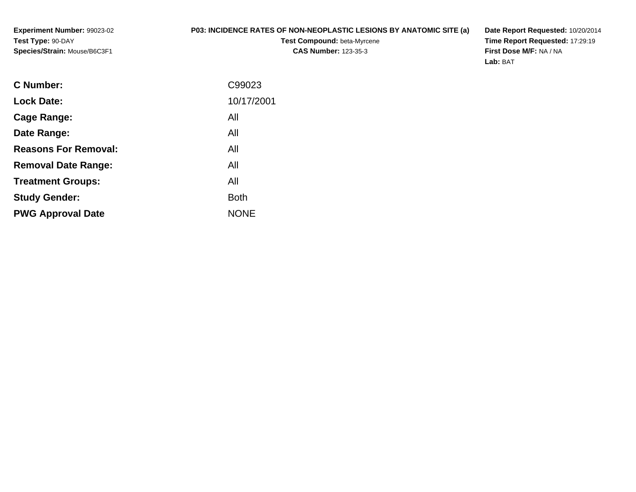**Experiment Number:** 99023-02**Test Type:** 90-DAY**Species/Strain:** Mouse/B6C3F1

## **P03: INCIDENCE RATES OF NON-NEOPLASTIC LESIONS BY ANATOMIC SITE (a)**

**Test Compound:** beta-Myrcene**CAS Number:** 123-35-3

**Date Report Requested:** 10/20/2014 **Time Report Requested:** 17:29:19**First Dose M/F:** NA / NA**Lab:** BAT

| <b>Lock Date:</b><br>All<br>Cage Range:<br>All<br>Date Range:<br><b>Reasons For Removal:</b><br>All<br>All<br><b>Removal Date Range:</b><br>All<br><b>Treatment Groups:</b><br><b>Both</b><br><b>Study Gender:</b><br><b>NONE</b><br><b>PWG Approval Date</b> | <b>C</b> Number: | C99023     |
|---------------------------------------------------------------------------------------------------------------------------------------------------------------------------------------------------------------------------------------------------------------|------------------|------------|
|                                                                                                                                                                                                                                                               |                  | 10/17/2001 |
|                                                                                                                                                                                                                                                               |                  |            |
|                                                                                                                                                                                                                                                               |                  |            |
|                                                                                                                                                                                                                                                               |                  |            |
|                                                                                                                                                                                                                                                               |                  |            |
|                                                                                                                                                                                                                                                               |                  |            |
|                                                                                                                                                                                                                                                               |                  |            |
|                                                                                                                                                                                                                                                               |                  |            |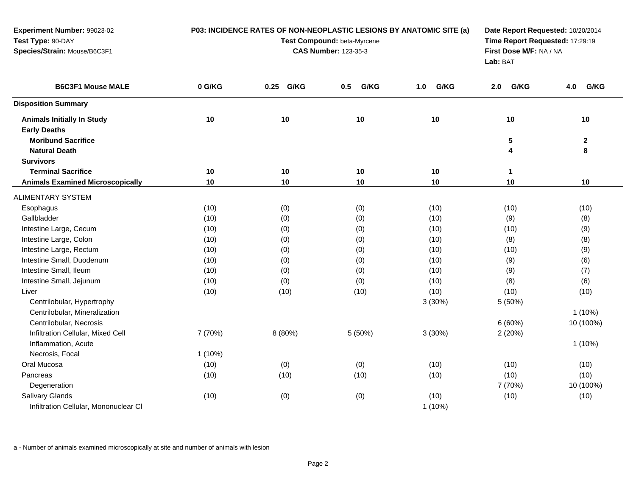| P03: INCIDENCE RATES OF NON-NEOPLASTIC LESIONS BY ANATOMIC SITE (a) |           |                                 | Date Report Requested: 10/20/2014                          |             |              |
|---------------------------------------------------------------------|-----------|---------------------------------|------------------------------------------------------------|-------------|--------------|
|                                                                     |           | Time Report Requested: 17:29:19 |                                                            |             |              |
|                                                                     |           |                                 | First Dose M/F: NA / NA<br>Lab: BAT                        |             |              |
| 0 G/KG                                                              | 0.25 G/KG | G/KG<br>0.5                     | G/KG<br>1.0                                                | G/KG<br>2.0 | G/KG<br>4.0  |
|                                                                     |           |                                 |                                                            |             |              |
| 10                                                                  | 10        | 10                              | 10                                                         | 10          | 10           |
|                                                                     |           |                                 |                                                            |             |              |
|                                                                     |           |                                 |                                                            | 5           | $\mathbf{2}$ |
|                                                                     |           |                                 |                                                            | 4           | 8            |
|                                                                     |           |                                 |                                                            |             |              |
| 10                                                                  | 10        | 10                              | 10                                                         | 1           |              |
| 10                                                                  | 10        | 10                              | 10                                                         | 10          | 10           |
|                                                                     |           |                                 |                                                            |             |              |
| (10)                                                                | (0)       | (0)                             | (10)                                                       | (10)        | (10)         |
| (10)                                                                | (0)       | (0)                             | (10)                                                       | (9)         | (8)          |
| (10)                                                                | (0)       | (0)                             | (10)                                                       | (10)        | (9)          |
| (10)                                                                | (0)       | (0)                             | (10)                                                       | (8)         | (8)          |
| (10)                                                                | (0)       | (0)                             | (10)                                                       | (10)        | (9)          |
| (10)                                                                | (0)       | (0)                             | (10)                                                       | (9)         | (6)          |
| (10)                                                                | (0)       | (0)                             | (10)                                                       | (9)         | (7)          |
| (10)                                                                | (0)       | (0)                             | (10)                                                       | (8)         | (6)          |
| (10)                                                                | (10)      | (10)                            | (10)                                                       | (10)        | (10)         |
|                                                                     |           |                                 | 3(30%)                                                     | 5 (50%)     |              |
|                                                                     |           |                                 |                                                            |             | $1(10\%)$    |
|                                                                     |           |                                 |                                                            | 6 (60%)     | 10 (100%)    |
| 7 (70%)                                                             | 8 (80%)   | 5 (50%)                         | 3(30%)                                                     | 2(20%)      |              |
|                                                                     |           |                                 |                                                            |             | $1(10\%)$    |
| $1(10\%)$                                                           |           |                                 |                                                            |             |              |
| (10)                                                                | (0)       | (0)                             | (10)                                                       | (10)        | (10)         |
| (10)                                                                | (10)      | (10)                            | (10)                                                       | (10)        | (10)         |
|                                                                     |           |                                 |                                                            | 7 (70%)     | 10 (100%)    |
| (10)                                                                | (0)       | (0)                             | (10)<br>$1(10\%)$                                          | (10)        | (10)         |
|                                                                     |           |                                 | Test Compound: beta-Myrcene<br><b>CAS Number: 123-35-3</b> |             |              |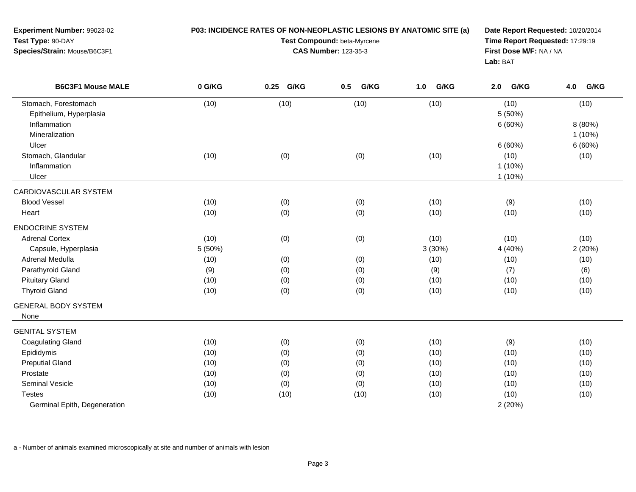| Experiment Number: 99023-02<br>Test Type: 90-DAY<br>Species/Strain: Mouse/B6C3F1  | P03: INCIDENCE RATES OF NON-NEOPLASTIC LESIONS BY ANATOMIC SITE (a) | Date Report Requested: 10/20/2014<br>Time Report Requested: 17:29:19<br>First Dose M/F: NA / NA<br>Lab: BAT |             |                |                                          |                              |
|-----------------------------------------------------------------------------------|---------------------------------------------------------------------|-------------------------------------------------------------------------------------------------------------|-------------|----------------|------------------------------------------|------------------------------|
| <b>B6C3F1 Mouse MALE</b>                                                          | 0 G/KG                                                              | 0.25 G/KG                                                                                                   | G/KG<br>0.5 | 1.0<br>G/KG    | G/KG<br>2.0                              | G/KG<br>4.0                  |
| Stomach, Forestomach<br>Epithelium, Hyperplasia<br>Inflammation<br>Mineralization | (10)                                                                | (10)                                                                                                        | (10)        | (10)           | (10)<br>5(50%)<br>6(60%)                 | (10)<br>8 (80%)<br>$1(10\%)$ |
| Ulcer<br>Stomach, Glandular<br>Inflammation<br>Ulcer                              | (10)                                                                | (0)                                                                                                         | (0)         | (10)           | 6(60%)<br>(10)<br>$1(10\%)$<br>$1(10\%)$ | 6(60%)<br>(10)               |
| CARDIOVASCULAR SYSTEM                                                             |                                                                     |                                                                                                             |             |                |                                          |                              |
| <b>Blood Vessel</b>                                                               | (10)                                                                | (0)                                                                                                         | (0)         | (10)           | (9)                                      | (10)                         |
| Heart                                                                             | (10)                                                                | (0)                                                                                                         | (0)         | (10)           | (10)                                     | (10)                         |
| <b>ENDOCRINE SYSTEM</b>                                                           |                                                                     |                                                                                                             |             |                |                                          |                              |
| <b>Adrenal Cortex</b><br>Capsule, Hyperplasia                                     | (10)<br>5 (50%)                                                     | (0)                                                                                                         | (0)         | (10)<br>3(30%) | (10)<br>4 (40%)                          | (10)<br>2(20%)               |
| Adrenal Medulla                                                                   | (10)                                                                | (0)                                                                                                         | (0)         | (10)           | (10)                                     | (10)                         |
| Parathyroid Gland                                                                 | (9)                                                                 | (0)                                                                                                         | (0)         | (9)            | (7)                                      | (6)                          |
| <b>Pituitary Gland</b>                                                            | (10)                                                                | (0)                                                                                                         | (0)         | (10)           | (10)                                     | (10)                         |
| <b>Thyroid Gland</b>                                                              | (10)                                                                | (0)                                                                                                         | (0)         | (10)           | (10)                                     | (10)                         |
| <b>GENERAL BODY SYSTEM</b><br>None                                                |                                                                     |                                                                                                             |             |                |                                          |                              |
| <b>GENITAL SYSTEM</b>                                                             |                                                                     |                                                                                                             |             |                |                                          |                              |
| <b>Coagulating Gland</b>                                                          | (10)                                                                | (0)                                                                                                         | (0)         | (10)           | (9)                                      | (10)                         |
| Epididymis                                                                        | (10)                                                                | (0)                                                                                                         | (0)         | (10)           | (10)                                     | (10)                         |
| <b>Preputial Gland</b>                                                            | (10)                                                                | (0)                                                                                                         | (0)         | (10)           | (10)                                     | (10)                         |
| Prostate                                                                          | (10)                                                                | (0)                                                                                                         | (0)         | (10)           | (10)                                     | (10)                         |
| Seminal Vesicle                                                                   | (10)                                                                | (0)                                                                                                         | (0)         | (10)           | (10)                                     | (10)                         |
| <b>Testes</b>                                                                     | (10)                                                                | (10)                                                                                                        | (10)        | (10)           | (10)                                     | (10)                         |
| Germinal Epith, Degeneration                                                      |                                                                     |                                                                                                             |             |                | 2(20%)                                   |                              |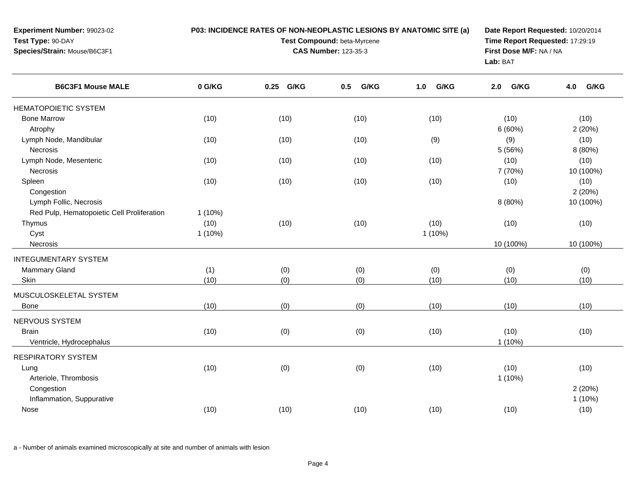| Experiment Number: 99023-02<br>Test Type: 90-DAY<br>Species/Strain: Mouse/B6C3F1 |           | P03: INCIDENCE RATES OF NON-NEOPLASTIC LESIONS BY ANATOMIC SITE (a)<br>Test Compound: beta-Myrcene<br><b>CAS Number: 123-35-3</b> | Date Report Requested: 10/20/2014<br>Time Report Requested: 17:29:19<br>First Dose M/F: NA / NA<br>Lab: BAT |             |             |             |
|----------------------------------------------------------------------------------|-----------|-----------------------------------------------------------------------------------------------------------------------------------|-------------------------------------------------------------------------------------------------------------|-------------|-------------|-------------|
| <b>B6C3F1 Mouse MALE</b>                                                         | 0 G/KG    | 0.25 G/KG                                                                                                                         | 0.5<br>G/KG                                                                                                 | G/KG<br>1.0 | G/KG<br>2.0 | G/KG<br>4.0 |
| <b>HEMATOPOIETIC SYSTEM</b>                                                      |           |                                                                                                                                   |                                                                                                             |             |             |             |
| <b>Bone Marrow</b>                                                               | (10)      | (10)                                                                                                                              | (10)                                                                                                        | (10)        | (10)        | (10)        |
| Atrophy                                                                          |           |                                                                                                                                   |                                                                                                             |             | 6 (60%)     | 2(20%)      |
| Lymph Node, Mandibular                                                           | (10)      | (10)                                                                                                                              | (10)                                                                                                        | (9)         | (9)         | (10)        |
| <b>Necrosis</b>                                                                  |           |                                                                                                                                   |                                                                                                             |             | 5 (56%)     | 8 (80%)     |
| Lymph Node, Mesenteric                                                           | (10)      | (10)                                                                                                                              | (10)                                                                                                        | (10)        | (10)        | (10)        |
| Necrosis                                                                         |           |                                                                                                                                   |                                                                                                             |             | 7 (70%)     | 10 (100%)   |
| Spleen                                                                           | (10)      | (10)                                                                                                                              | (10)                                                                                                        | (10)        | (10)        | (10)        |
| Congestion                                                                       |           |                                                                                                                                   |                                                                                                             |             |             | 2(20%)      |
| Lymph Follic, Necrosis                                                           |           |                                                                                                                                   |                                                                                                             |             | 8 (80%)     | 10 (100%)   |
| Red Pulp, Hematopoietic Cell Proliferation                                       | $1(10\%)$ |                                                                                                                                   |                                                                                                             |             |             |             |
| Thymus                                                                           | (10)      | (10)                                                                                                                              | (10)                                                                                                        | (10)        | (10)        | (10)        |
| Cyst                                                                             | $1(10\%)$ |                                                                                                                                   |                                                                                                             | 1(10%)      |             |             |
| Necrosis                                                                         |           |                                                                                                                                   |                                                                                                             |             | 10 (100%)   | 10 (100%)   |
| <b>INTEGUMENTARY SYSTEM</b>                                                      |           |                                                                                                                                   |                                                                                                             |             |             |             |
| <b>Mammary Gland</b>                                                             | (1)       | (0)                                                                                                                               | (0)                                                                                                         | (0)         | (0)         | (0)         |
| Skin                                                                             | (10)      | (0)                                                                                                                               | (0)                                                                                                         | (10)        | (10)        | (10)        |
| MUSCULOSKELETAL SYSTEM                                                           |           |                                                                                                                                   |                                                                                                             |             |             |             |
| Bone                                                                             | (10)      | (0)                                                                                                                               | (0)                                                                                                         | (10)        | (10)        | (10)        |
| NERVOUS SYSTEM                                                                   |           |                                                                                                                                   |                                                                                                             |             |             |             |
| <b>Brain</b>                                                                     | (10)      | (0)                                                                                                                               | (0)                                                                                                         | (10)        | (10)        | (10)        |
| Ventricle, Hydrocephalus                                                         |           |                                                                                                                                   |                                                                                                             |             | $1(10\%)$   |             |
|                                                                                  |           |                                                                                                                                   |                                                                                                             |             |             |             |
| <b>RESPIRATORY SYSTEM</b>                                                        |           |                                                                                                                                   |                                                                                                             |             |             |             |
| Lung                                                                             | (10)      | (0)                                                                                                                               | (0)                                                                                                         | (10)        | (10)        | (10)        |
| Arteriole, Thrombosis                                                            |           |                                                                                                                                   |                                                                                                             |             | $1(10\%)$   |             |
| Congestion                                                                       |           |                                                                                                                                   |                                                                                                             |             |             | 2(20%)      |
| Inflammation, Suppurative                                                        |           |                                                                                                                                   |                                                                                                             |             |             | 1(10%)      |
| Nose                                                                             | (10)      | (10)                                                                                                                              | (10)                                                                                                        | (10)        | (10)        | (10)        |
|                                                                                  |           |                                                                                                                                   |                                                                                                             |             |             |             |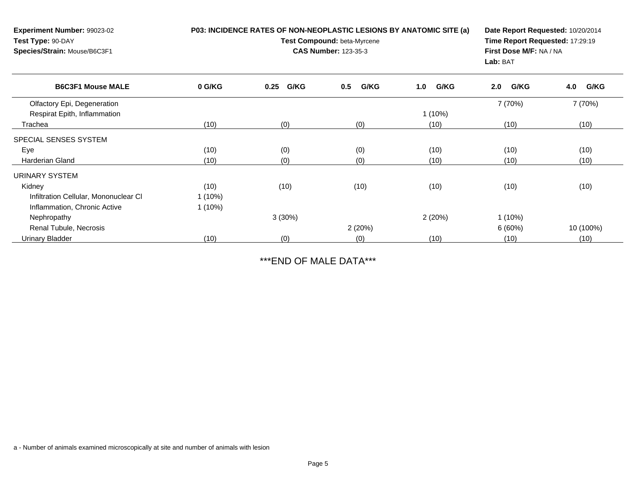| <b>Experiment Number: 99023-02</b><br>Test Type: 90-DAY<br>Species/Strain: Mouse/B6C3F1 |           | P03: INCIDENCE RATES OF NON-NEOPLASTIC LESIONS BY ANATOMIC SITE (a)<br>Test Compound: beta-Myrcene<br><b>CAS Number: 123-35-3</b> | Date Report Requested: 10/20/2014<br>Time Report Requested: 17:29:19<br>First Dose M/F: NA / NA<br>Lab: BAT |             |             |             |
|-----------------------------------------------------------------------------------------|-----------|-----------------------------------------------------------------------------------------------------------------------------------|-------------------------------------------------------------------------------------------------------------|-------------|-------------|-------------|
| <b>B6C3F1 Mouse MALE</b>                                                                | 0 G/KG    | G/KG<br>0.25                                                                                                                      | G/KG<br>0.5                                                                                                 | G/KG<br>1.0 | G/KG<br>2.0 | G/KG<br>4.0 |
| Olfactory Epi, Degeneration                                                             |           |                                                                                                                                   |                                                                                                             |             | 7 (70%)     | 7 (70%)     |
| Respirat Epith, Inflammation                                                            |           |                                                                                                                                   |                                                                                                             | $1(10\%)$   |             |             |
| Trachea                                                                                 | (10)      | (0)                                                                                                                               | (0)                                                                                                         | (10)        | (10)        | (10)        |
| SPECIAL SENSES SYSTEM                                                                   |           |                                                                                                                                   |                                                                                                             |             |             |             |
| Eye                                                                                     | (10)      | (0)                                                                                                                               | (0)                                                                                                         | (10)        | (10)        | (10)        |
| Harderian Gland                                                                         | (10)      | (0)                                                                                                                               | (0)                                                                                                         | (10)        | (10)        | (10)        |
| URINARY SYSTEM                                                                          |           |                                                                                                                                   |                                                                                                             |             |             |             |
| Kidney                                                                                  | (10)      | (10)                                                                                                                              | (10)                                                                                                        | (10)        | (10)        | (10)        |
| Infiltration Cellular, Mononuclear CI                                                   | $1(10\%)$ |                                                                                                                                   |                                                                                                             |             |             |             |
| Inflammation, Chronic Active                                                            | $1(10\%)$ |                                                                                                                                   |                                                                                                             |             |             |             |
| Nephropathy                                                                             |           | 3(30%)                                                                                                                            |                                                                                                             | 2(20%)      | 1(10%)      |             |
| Renal Tubule, Necrosis                                                                  |           |                                                                                                                                   | 2(20%)                                                                                                      |             | 6(60%)      | 10 (100%)   |
| Urinary Bladder                                                                         | (10)      | (0)                                                                                                                               | (0)                                                                                                         | (10)        | (10)        | (10)        |

\*\*\*END OF MALE DATA\*\*\*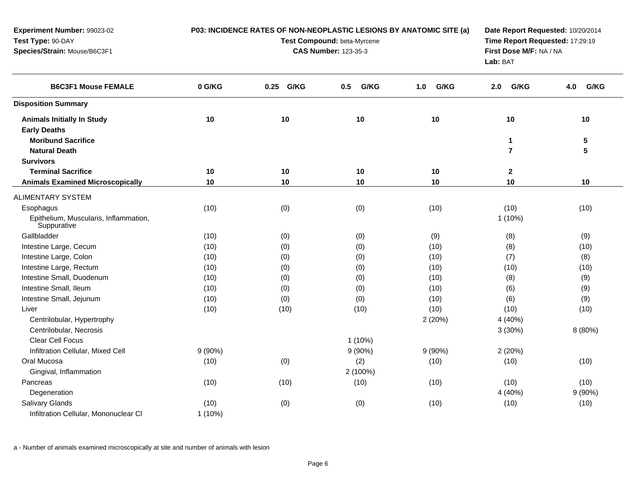| Experiment Number: 99023-02                          |           | P03: INCIDENCE RATES OF NON-NEOPLASTIC LESIONS BY ANATOMIC SITE (a) | Date Report Requested: 10/20/2014<br>Time Report Requested: 17:29:19 |             |                |             |
|------------------------------------------------------|-----------|---------------------------------------------------------------------|----------------------------------------------------------------------|-------------|----------------|-------------|
| Test Type: 90-DAY                                    |           | Test Compound: beta-Myrcene                                         |                                                                      |             |                |             |
| Species/Strain: Mouse/B6C3F1                         |           | <b>CAS Number: 123-35-3</b>                                         | First Dose M/F: NA / NA<br>Lab: BAT                                  |             |                |             |
| <b>B6C3F1 Mouse FEMALE</b>                           | 0 G/KG    | 0.25 G/KG                                                           | G/KG<br>0.5                                                          | G/KG<br>1.0 | G/KG<br>2.0    | G/KG<br>4.0 |
| <b>Disposition Summary</b>                           |           |                                                                     |                                                                      |             |                |             |
| <b>Animals Initially In Study</b>                    | 10        | 10                                                                  | 10                                                                   | 10          | 10             | 10          |
| <b>Early Deaths</b>                                  |           |                                                                     |                                                                      |             |                |             |
| <b>Moribund Sacrifice</b>                            |           |                                                                     |                                                                      |             | 1              | ${\bf 5}$   |
| <b>Natural Death</b>                                 |           |                                                                     |                                                                      |             | $\overline{7}$ | 5           |
| <b>Survivors</b>                                     |           |                                                                     |                                                                      |             |                |             |
| <b>Terminal Sacrifice</b>                            | 10        | 10                                                                  | 10                                                                   | 10          | 2              |             |
| <b>Animals Examined Microscopically</b>              | 10        | 10                                                                  | 10                                                                   | 10          | 10             | 10          |
| <b>ALIMENTARY SYSTEM</b>                             |           |                                                                     |                                                                      |             |                |             |
| Esophagus                                            | (10)      | (0)                                                                 | (0)                                                                  | (10)        | (10)           | (10)        |
| Epithelium, Muscularis, Inflammation,<br>Suppurative |           |                                                                     |                                                                      |             | $1(10\%)$      |             |
| Gallbladder                                          | (10)      | (0)                                                                 | (0)                                                                  | (9)         | (8)            | (9)         |
| Intestine Large, Cecum                               | (10)      | (0)                                                                 | (0)                                                                  | (10)        | (8)            | (10)        |
| Intestine Large, Colon                               | (10)      | (0)                                                                 | (0)                                                                  | (10)        | (7)            | (8)         |
| Intestine Large, Rectum                              | (10)      | (0)                                                                 | (0)                                                                  | (10)        | (10)           | (10)        |
| Intestine Small, Duodenum                            | (10)      | (0)                                                                 | (0)                                                                  | (10)        | (8)            | (9)         |
| Intestine Small, Ileum                               | (10)      | (0)                                                                 | (0)                                                                  | (10)        | (6)            | (9)         |
| Intestine Small, Jejunum                             | (10)      | (0)                                                                 | (0)                                                                  | (10)        | (6)            | (9)         |
| Liver                                                | (10)      | (10)                                                                | (10)                                                                 | (10)        | (10)           | (10)        |
| Centrilobular, Hypertrophy                           |           |                                                                     |                                                                      | 2(20%)      | 4 (40%)        |             |
| Centrilobular, Necrosis                              |           |                                                                     |                                                                      |             | 3(30%)         | 8 (80%)     |
| Clear Cell Focus                                     |           |                                                                     | $1(10\%)$                                                            |             |                |             |
| Infiltration Cellular, Mixed Cell                    | $9(90\%)$ |                                                                     | $9(90\%)$                                                            | $9(90\%)$   | 2 (20%)        |             |
| Oral Mucosa                                          | (10)      | (0)                                                                 | (2)                                                                  | (10)        | (10)           | (10)        |
| Gingival, Inflammation                               |           |                                                                     | 2 (100%)                                                             |             |                |             |
| Pancreas                                             | (10)      | (10)                                                                | (10)                                                                 | (10)        | (10)           | (10)        |
| Degeneration                                         |           |                                                                     |                                                                      |             | 4 (40%)        | 9(90%)      |
| <b>Salivary Glands</b>                               | (10)      | (0)                                                                 | (0)                                                                  | (10)        | (10)           | (10)        |
| Infiltration Cellular, Mononuclear CI                | $1(10\%)$ |                                                                     |                                                                      |             |                |             |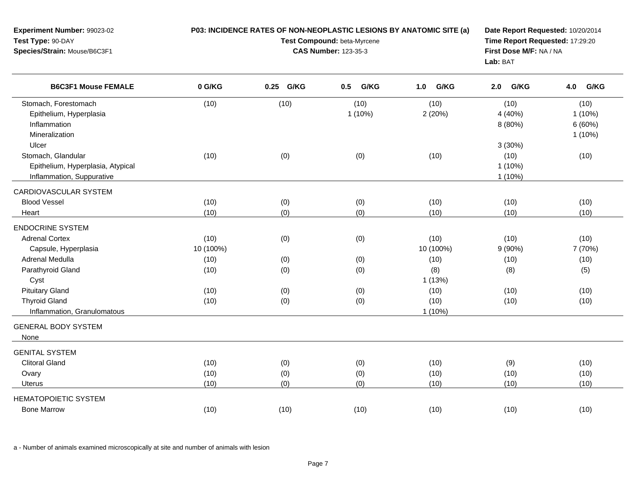| Experiment Number: 99023-02<br>Test Type: 90-DAY<br>Species/Strain: Mouse/B6C3F1           | P03: INCIDENCE RATES OF NON-NEOPLASTIC LESIONS BY ANATOMIC SITE (a) | Date Report Requested: 10/20/2014<br>Time Report Requested: 17:29:20<br>First Dose M/F: NA / NA<br>Lab: BAT |                   |                           |                                          |                                       |
|--------------------------------------------------------------------------------------------|---------------------------------------------------------------------|-------------------------------------------------------------------------------------------------------------|-------------------|---------------------------|------------------------------------------|---------------------------------------|
| <b>B6C3F1 Mouse FEMALE</b>                                                                 | 0 G/KG                                                              | 0.25 G/KG                                                                                                   | G/KG<br>0.5       | G/KG<br>1.0               | G/KG<br>2.0                              | G/KG<br>4.0                           |
| Stomach, Forestomach<br>Epithelium, Hyperplasia<br>Inflammation<br>Mineralization<br>Ulcer | (10)                                                                | (10)                                                                                                        | (10)<br>$1(10\%)$ | (10)<br>2(20%)            | (10)<br>4 (40%)<br>8 (80%)               | (10)<br>$1(10\%)$<br>6(60%)<br>1(10%) |
| Stomach, Glandular<br>Epithelium, Hyperplasia, Atypical<br>Inflammation, Suppurative       | (10)                                                                | (0)                                                                                                         | (0)               | (10)                      | 3(30%)<br>(10)<br>$1(10\%)$<br>$1(10\%)$ | (10)                                  |
| CARDIOVASCULAR SYSTEM<br><b>Blood Vessel</b><br>Heart                                      | (10)<br>(10)                                                        | (0)<br>(0)                                                                                                  | (0)<br>(0)        | (10)<br>(10)              | (10)<br>(10)                             | (10)<br>(10)                          |
| <b>ENDOCRINE SYSTEM</b><br><b>Adrenal Cortex</b><br>Capsule, Hyperplasia                   | (10)<br>10 (100%)                                                   | (0)                                                                                                         | (0)               | (10)<br>10 (100%)         | (10)<br>$9(90\%)$                        | (10)<br>7 (70%)                       |
| Adrenal Medulla<br>Parathyroid Gland<br>Cyst                                               | (10)<br>(10)                                                        | (0)<br>(0)                                                                                                  | (0)<br>(0)        | (10)<br>(8)<br>1(13%)     | (10)<br>(8)                              | (10)<br>(5)                           |
| <b>Pituitary Gland</b><br><b>Thyroid Gland</b><br>Inflammation, Granulomatous              | (10)<br>(10)                                                        | (0)<br>(0)                                                                                                  | (0)<br>(0)        | (10)<br>(10)<br>$1(10\%)$ | (10)<br>(10)                             | (10)<br>(10)                          |
| <b>GENERAL BODY SYSTEM</b><br>None                                                         |                                                                     |                                                                                                             |                   |                           |                                          |                                       |
| <b>GENITAL SYSTEM</b><br><b>Clitoral Gland</b><br>Ovary<br>Uterus                          | (10)<br>(10)<br>(10)                                                | (0)<br>(0)<br>(0)                                                                                           | (0)<br>(0)<br>(0) | (10)<br>(10)<br>(10)      | (9)<br>(10)<br>(10)                      | (10)<br>(10)<br>(10)                  |
| <b>HEMATOPOIETIC SYSTEM</b><br><b>Bone Marrow</b>                                          | (10)                                                                | (10)                                                                                                        | (10)              | (10)                      | (10)                                     | (10)                                  |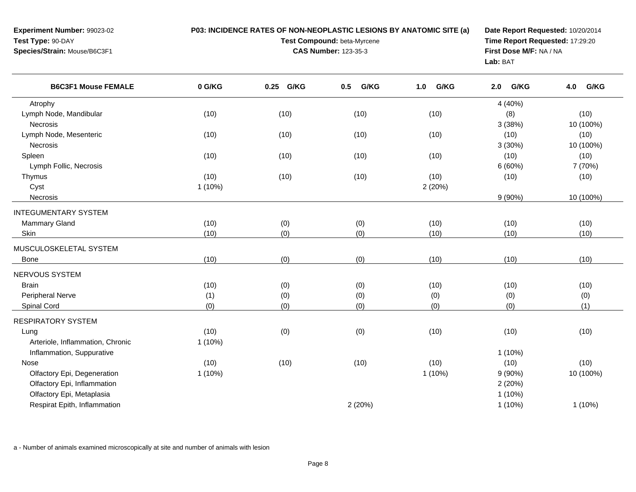| <b>Experiment Number: 99023-02</b>  | <b>P03: INCIDENCE RATES OF NON-NEOPLASTIC LESIONS BY ANATOMIC SITE (a)</b> | Date Report Requested: 10/20/2014      |
|-------------------------------------|----------------------------------------------------------------------------|----------------------------------------|
| Test Type: 90-DAY                   | <b>Test Compound: beta-Myrcene</b>                                         | <b>Time Report Requested: 17:29:20</b> |
| <b>Species/Strain: Mouse/B6C3F1</b> | <b>CAS Number: 123-35-3</b>                                                | <b>First Dose M/F: NA / NA</b>         |
|                                     |                                                                            | Lab: BAT                               |
|                                     |                                                                            |                                        |

| <b>B6C3F1 Mouse FEMALE</b>       | 0 G/KG    | G/KG<br>0.25 | G/KG<br>0.5 | G/KG<br>1.0 | G/KG<br>2.0 | 4.0<br>G/KG |
|----------------------------------|-----------|--------------|-------------|-------------|-------------|-------------|
| Atrophy                          |           |              |             |             | 4 (40%)     |             |
| Lymph Node, Mandibular           | (10)      | (10)         | (10)        | (10)        | (8)         | (10)        |
| Necrosis                         |           |              |             |             | 3(38%)      | 10 (100%)   |
| Lymph Node, Mesenteric           | (10)      | (10)         | (10)        | (10)        | (10)        | (10)        |
| Necrosis                         |           |              |             |             | 3(30%)      | 10 (100%)   |
| Spleen                           | (10)      | (10)         | (10)        | (10)        | (10)        | (10)        |
| Lymph Follic, Necrosis           |           |              |             |             | 6(60%)      | 7 (70%)     |
| Thymus                           | (10)      | (10)         | (10)        | (10)        | (10)        | (10)        |
| Cyst                             | $1(10\%)$ |              |             | 2(20%)      |             |             |
| Necrosis                         |           |              |             |             | $9(90\%)$   | 10 (100%)   |
| <b>INTEGUMENTARY SYSTEM</b>      |           |              |             |             |             |             |
| <b>Mammary Gland</b>             | (10)      | (0)          | (0)         | (10)        | (10)        | (10)        |
| Skin                             | (10)      | (0)          | (0)         | (10)        | (10)        | (10)        |
| MUSCULOSKELETAL SYSTEM           |           |              |             |             |             |             |
| <b>Bone</b>                      | (10)      | (0)          | (0)         | (10)        | (10)        | (10)        |
| NERVOUS SYSTEM                   |           |              |             |             |             |             |
| <b>Brain</b>                     | (10)      | (0)          | (0)         | (10)        | (10)        | (10)        |
| <b>Peripheral Nerve</b>          | (1)       | (0)          | (0)         | (0)         | (0)         | (0)         |
| Spinal Cord                      | (0)       | (0)          | (0)         | (0)         | (0)         | (1)         |
| <b>RESPIRATORY SYSTEM</b>        |           |              |             |             |             |             |
| Lung                             | (10)      | (0)          | (0)         | (10)        | (10)        | (10)        |
| Arteriole, Inflammation, Chronic | 1(10%)    |              |             |             |             |             |
| Inflammation, Suppurative        |           |              |             |             | $1(10\%)$   |             |
| Nose                             | (10)      | (10)         | (10)        | (10)        | (10)        | (10)        |
| Olfactory Epi, Degeneration      | $1(10\%)$ |              |             | 1(10%)      | $9(90\%)$   | 10 (100%)   |
| Olfactory Epi, Inflammation      |           |              |             |             | 2(20%)      |             |
| Olfactory Epi, Metaplasia        |           |              |             |             | $1(10\%)$   |             |
| Respirat Epith, Inflammation     |           |              | 2(20%)      |             | $1(10\%)$   | $1(10\%)$   |
|                                  |           |              |             |             |             |             |